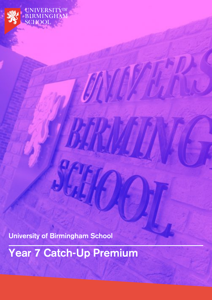**University of Birmingham School**

**UNIVERSITYOF BIRMINGHAM** 

**SCHOOL** 

**Year 7 Catch-Up Premium**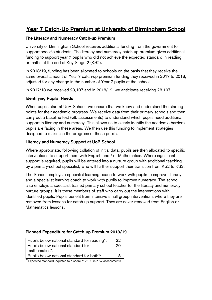# **Year 7 Catch-Up Premium at University of Birmingham School**

## **The Literacy and Numeracy Catch-up Premium**

University of Birmingham School receives additional funding from the government to support specific students. The literacy and numeracy catch-up premium gives additional funding to support year 7 pupils who did not achieve the expected standard in reading or maths at the end of Key Stage 2 (KS2).

In 2018/19, funding has been allocated to schools on the basis that they receive the same overall amount of Year 7 catch-up premium funding they received in 2017 to 2018, adjusted for any change in the number of Year 7 pupils at the school.

In 2017/18 we received £8,107 and in 2018/19, we anticipate receiving £8,107.

### **Identifying Pupils' Needs**

When pupils start at UoB School, we ensure that we know and understand the starting points for their academic progress. We receive data from their primary schools and then carry out a baseline test (GL assessments) to understand which pupils need additional support in literacy and numeracy. This allows us to clearly identify the academic barriers pupils are facing in these areas. We then use this funding to implement strategies designed to maximise the progress of these pupils.

### **Literacy and Numeracy Support at UoB School**

Where appropriate, following collation of initial data, pupils are then allocated to specific interventions to support them with English and / or Mathematics. Where significant support is required, pupils will be entered into a nurture group with additional teaching by a primary-school specialist, who will further support their transition from KS2 to KS3.

The School employs a specialist learning coach to work with pupils to improve literacy, and a specialist learning coach to work with pupils to improve numeracy. The school also employs a specialist trained primary school teacher for the literacy and numeracy nurture groups. It is these members of staff who carry out the interventions with identified pupils. Pupils benefit from intensive small group interventions where they are removed from lessons for catch-up support. They are never removed from English or Mathematics lessons.

### **Planned Expenditure for Catch-up Premium 2018/19**

| Pupils below national standard for reading*: | 22 |
|----------------------------------------------|----|
| Pupils below national standard for           | 20 |
| mathematics*:                                |    |
| Pupils below national standard for both*:    |    |
|                                              |    |

\*'Expected standard' equates to a score of ≥100 in KS2 assessments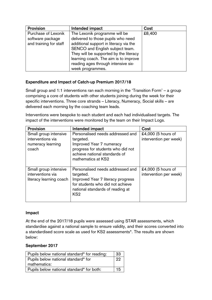| <b>Provision</b>       | Intended impact                        | Cost   |
|------------------------|----------------------------------------|--------|
| Purchase of Lexonik    | The Lexonik programme will be          | £8,400 |
| software package       | delivered to those pupils who need     |        |
| and training for staff | additional support in literacy via the |        |
|                        | SENCO and English subject team.        |        |
|                        | They will be supported by the literacy |        |
|                        | learning coach. The aim is to improve  |        |
|                        | reading ages through intensive six-    |        |
|                        | week programmes.                       |        |

## **Expenditure and Impact of Catch-up Premium 2017/18**

Small group and 1:1 interventions ran each morning in the 'Transition Form' – a group comprising a core of students with other students joining during the week for their specific interventions. Three core strands – Literacy, Numeracy, Social skills – are delivered each morning by the coaching team leads.

Interventions were bespoke to each student and each had individualised targets. The impact of the interventions were monitored by the team on their Impact Logs.

| <b>Provision</b>                                                         | Intended impact                                                                                                                                                               | Cost                                         |
|--------------------------------------------------------------------------|-------------------------------------------------------------------------------------------------------------------------------------------------------------------------------|----------------------------------------------|
| Small group intensive<br>interventions via<br>numeracy learning<br>coach | Personalised needs addressed and<br>targeted.<br>Improved Year 7 numeracy<br>progress for students who did not<br>achieve national standards of<br>mathematics at KS2         | £4,000 (5 hours of<br>intervention per week) |
| Small group intensive<br>interventions via<br>literacy learning coach    | Personalised needs addressed and<br>targeted.<br>Improved Year 7 literacy progress<br>for students who did not achieve<br>national standards of reading at<br>KS <sub>2</sub> | £4,000 (5 hours of<br>intervention per week) |

### **Impact**

At the end of the 2017/18 pupils were assessed using STAR assessments, which standardise against a national sample to ensure validity, and their scores converted into a standardised score scale as used for KS2 assessments\*. The results are shown below:

#### **September 2017**

| Pupils below national standard* for reading: | 33 |
|----------------------------------------------|----|
| Pupils below national standard* for          | 22 |
| mathematics:                                 |    |
| Pupils below national standard* for both:    | 15 |